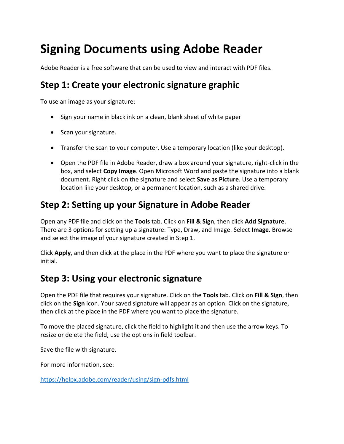# **Signing Documents using Adobe Reader**

Adobe Reader is a free software that can be used to view and interact with PDF files.

## **Step 1: Create your electronic signature graphic**

To use an image as your signature:

- Sign your name in black ink on a clean, blank sheet of white paper
- Scan your signature.
- Transfer the scan to your computer. Use a temporary location (like your desktop).
- Open the PDF file in Adobe Reader, draw a box around your signature, right-click in the box, and select **Copy Image**. Open Microsoft Word and paste the signature into a blank document. Right click on the signature and select **Save as Picture**. Use a temporary location like your desktop, or a permanent location, such as a shared drive.

## **Step 2: Setting up your Signature in Adobe Reader**

Open any PDF file and click on the **Tools** tab. Click on **Fill & Sign**, then click **Add Signature**. There are 3 options for setting up a signature: Type, Draw, and Image. Select **Image**. Browse and select the image of your signature created in Step 1.

Click **Apply**, and then click at the place in the PDF where you want to place the signature or initial.

### **Step 3: Using your electronic signature**

Open the PDF file that requires your signature. Click on the **Tools** tab. Click on **Fill & Sign**, then click on the **Sign** icon. Your saved signature will appear as an option. Click on the signature, then click at the place in the PDF where you want to place the signature.

To move the placed signature, click the field to highlight it and then use the arrow keys. To resize or delete the field, use the options in field toolbar.

Save the file with signature.

For more information, see:

<https://helpx.adobe.com/reader/using/sign-pdfs.html>